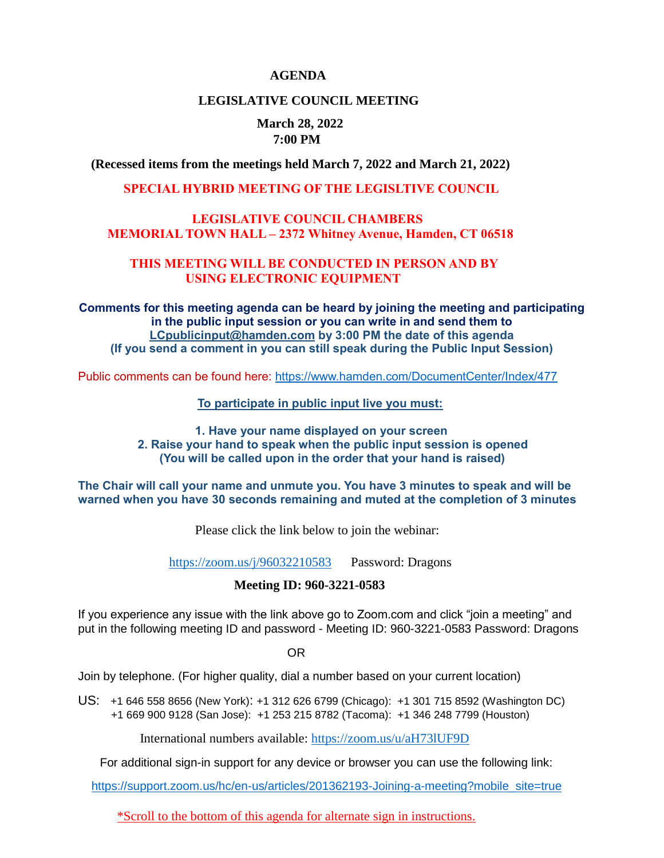#### **AGENDA**

#### **LEGISLATIVE COUNCIL MEETING**

## **March 28, 2022 7:00 PM**

 **(Recessed items from the meetings held March 7, 2022 and March 21, 2022)**

#### **SPECIAL HYBRID MEETING OF THE LEGISLTIVE COUNCIL**

#### **LEGISLATIVE COUNCIL CHAMBERS MEMORIAL TOWN HALL – 2372 Whitney Avenue, Hamden, CT 06518**

#### **THIS MEETING WILL BE CONDUCTED IN PERSON AND BY USING ELECTRONIC EQUIPMENT**

**Comments for this meeting agenda can be heard by joining the meeting and participating in the public input session or you can write in and send them to [LCpublicinput@hamden.com](mailto:LCpublicinput@hamden.com) by 3:00 PM the date of this agenda (If you send a comment in you can still speak during the Public Input Session)**

Public comments can be found here:<https://www.hamden.com/DocumentCenter/Index/477>

 **To participate in public input live you must:** 

**1. Have your name displayed on your screen 2. Raise your hand to speak when the public input session is opened (You will be called upon in the order that your hand is raised)** 

**The Chair will call your name and unmute you. You have 3 minutes to speak and will be warned when you have 30 seconds remaining and muted at the completion of 3 minutes**

Please click the link below to join the webinar:

<https://zoom.us/j/96032210583>Password: Dragons

#### **Meeting ID: 960-3221-0583**

If you experience any issue with the link above go to Zoom.com and click "join a meeting" and put in the following meeting ID and password - Meeting ID: 960-3221-0583 Password: Dragons

OR

Join by telephone. (For higher quality, dial a number based on your current location)

US: [+1 646 558 8656 \(New York\)](tel:+16465588656): [+1 312 626 6799 \(Chicago\):](tel:+13126266799) [+1 301 715 8592 \(Washington DC\)](tel:+13017158592) +1 669 900 9128 (San Jose): [+1 253 215 8782 \(Tacoma\):](tel:+12532158782) [+1 346 248 7799 \(Houston\)](tel:+13462487799)

International numbers available:<https://zoom.us/u/aH73lUF9D>

For additional sign-in support for any device or browser you can use the following link:

[https://support.zoom.us/hc/en-us/articles/201362193-Joining-a-meeting?mobile\\_site=true](https://support.zoom.us/hc/en-us/articles/201362193-Joining-a-meeting?mobile_site=true)

\*Scroll to the bottom of this agenda for alternate sign in instructions.